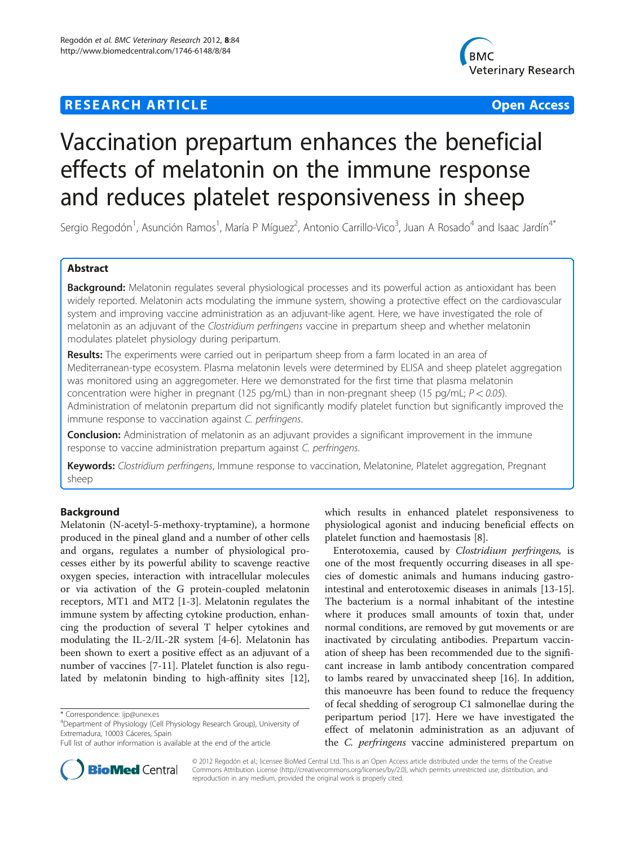# **RESEARCH ARTICLE Example 2014 12:30 The Contract of Contract ACCESS**



# Vaccination prepartum enhances the beneficial effects of melatonin on the immune response and reduces platelet responsiveness in sheep

Sergio Regodón<sup>1</sup>, Asunción Ramos<sup>1</sup>, María P Míguez<sup>2</sup>, Antonio Carrillo-Vico<sup>3</sup>, Juan A Rosado<sup>4</sup> and Isaac Jardín<sup>4\*</sup>

# Abstract

Background: Melatonin regulates several physiological processes and its powerful action as antioxidant has been widely reported. Melatonin acts modulating the immune system, showing a protective effect on the cardiovascular system and improving vaccine administration as an adjuvant-like agent. Here, we have investigated the role of melatonin as an adjuvant of the *Clostridium perfringens* vaccine in prepartum sheep and whether melatonin modulates platelet physiology during peripartum.

**Results:** The experiments were carried out in peripartum sheep from a farm located in an area of Mediterranean-type ecosystem. Plasma melatonin levels were determined by ELISA and sheep platelet aggregation was monitored using an aggregometer. Here we demonstrated for the first time that plasma melatonin concentration were higher in pregnant (125 pg/mL) than in non-pregnant sheep (15 pg/mL;  $P < 0.05$ ). Administration of melatonin prepartum did not significantly modify platelet function but significantly improved the immune response to vaccination against C. perfringens.

**Conclusion:** Administration of melatonin as an adjuvant provides a significant improvement in the immune response to vaccine administration prepartum against C. perfringens.

Keywords: Clostridium perfringens, Immune response to vaccination, Melatonine, Platelet aggregation, Pregnant sheep

# Background

Melatonin (N-acetyl-5-methoxy-tryptamine), a hormone produced in the pineal gland and a number of other cells and organs, regulates a number of physiological processes either by its powerful ability to scavenge reactive oxygen species, interaction with intracellular molecules or via activation of the G protein-coupled melatonin receptors, MT1 and MT2 [\[1-3](#page-6-0)]. Melatonin regulates the immune system by affecting cytokine production, enhancing the production of several T helper cytokines and modulating the IL-2/IL-2R system [[4-6](#page-6-0)]. Melatonin has been shown to exert a positive effect as an adjuvant of a number of vaccines [\[7](#page-6-0)-[11\]](#page-6-0). Platelet function is also regulated by melatonin binding to high-affinity sites [\[12](#page-6-0)],

which results in enhanced platelet responsiveness to physiological agonist and inducing beneficial effects on platelet function and haemostasis [[8\]](#page-6-0).

Enterotoxemia, caused by Clostridium perfringens, is one of the most frequently occurring diseases in all species of domestic animals and humans inducing gastrointestinal and enterotoxemic diseases in animals [\[13](#page-6-0)-[15](#page-6-0)]. The bacterium is a normal inhabitant of the intestine where it produces small amounts of toxin that, under normal conditions, are removed by gut movements or are inactivated by circulating antibodies. Prepartum vaccination of sheep has been recommended due to the significant increase in lamb antibody concentration compared to lambs reared by unvaccinated sheep [\[16](#page-6-0)]. In addition, this manoeuvre has been found to reduce the frequency of fecal shedding of serogroup C1 salmonellae during the peripartum period [\[17\]](#page-6-0). Here we have investigated the effect of melatonin administration as an adjuvant of the C. perfringens vaccine administered prepartum on



© 2012 Regodón et al.; licensee BioMed Central Ltd. This is an Open Access article distributed under the terms of the Creative Commons Attribution License [\(http://creativecommons.org/licenses/by/2.0\)](http://creativecommons.org/licenses/by/2.0), which permits unrestricted use, distribution, and reproduction in any medium, provided the original work is properly cited.

<sup>\*</sup> Correspondence: [ijp@unex.es](mailto:ijp@unex.es) <sup>4</sup>

Department of Physiology (Cell Physiology Research Group), University of Extremadura, 10003 Cáceres, Spain

Full list of author information is available at the end of the article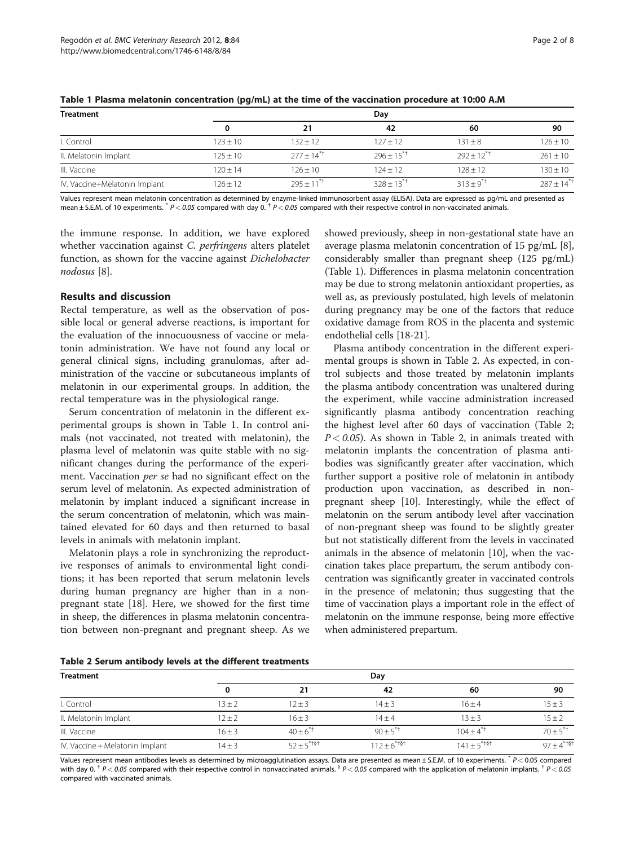| <b>Treatment</b>              | Day        |                          |                |                |                 |
|-------------------------------|------------|--------------------------|----------------|----------------|-----------------|
|                               |            | 21                       | 42             | 60             | 90              |
| I. Control                    | $123 + 10$ | $132 + 12$               | $127 + 12$     | $131 \pm 8$    | $126 \pm 10$    |
| II. Melatonin Implant         | $125 + 10$ | $277 + 14$ <sup>*T</sup> | $796 + 15^{1}$ | $792 + 12^{1}$ | $261 + 10$      |
| III. Vaccine                  | $120 + 14$ | $126 + 10$               | $124 + 12$     | $128 \pm 12$   | $130 \pm 10$    |
| IV. Vaccine+Melatonin Implant | 126 + 12   | $795 + 11^{17}$          | $328 + 13^{1}$ | $313 + 9^{1}$  | $287 + 14^{+1}$ |

Table 1 Plasma melatonin concentration (pg/mL) at the time of the vaccination procedure at 10:00 A.M

Values represent mean melatonin concentration as determined by enzyme-linked immunosorbent assay (ELISA). Data are expressed as pg/mL and presented as mean  $\pm$  S.E.M. of 10 experiments.  $p$  = 0.05 compared with day 0.  $p$  = 0.05 compared with their respective control in non-vaccinated animals.

the immune response. In addition, we have explored whether vaccination against C. perfringens alters platelet function, as shown for the vaccine against Dichelobacter nodosus [[8\]](#page-6-0).

#### Results and discussion

Rectal temperature, as well as the observation of possible local or general adverse reactions, is important for the evaluation of the innocuousness of vaccine or melatonin administration. We have not found any local or general clinical signs, including granulomas, after administration of the vaccine or subcutaneous implants of melatonin in our experimental groups. In addition, the rectal temperature was in the physiological range.

Serum concentration of melatonin in the different experimental groups is shown in Table 1. In control animals (not vaccinated, not treated with melatonin), the plasma level of melatonin was quite stable with no significant changes during the performance of the experiment. Vaccination per se had no significant effect on the serum level of melatonin. As expected administration of melatonin by implant induced a significant increase in the serum concentration of melatonin, which was maintained elevated for 60 days and then returned to basal levels in animals with melatonin implant.

Melatonin plays a role in synchronizing the reproductive responses of animals to environmental light conditions; it has been reported that serum melatonin levels during human pregnancy are higher than in a nonpregnant state [[18](#page-6-0)]. Here, we showed for the first time in sheep, the differences in plasma melatonin concentration between non-pregnant and pregnant sheep. As we showed previously, sheep in non-gestational state have an average plasma melatonin concentration of 15 pg/mL [\[8](#page-6-0)], considerably smaller than pregnant sheep (125 pg/mL) (Table 1). Differences in plasma melatonin concentration may be due to strong melatonin antioxidant properties, as well as, as previously postulated, high levels of melatonin during pregnancy may be one of the factors that reduce oxidative damage from ROS in the placenta and systemic endothelial cells [\[18](#page-6-0)[-21](#page-7-0)].

Plasma antibody concentration in the different experimental groups is shown in Table 2. As expected, in control subjects and those treated by melatonin implants the plasma antibody concentration was unaltered during the experiment, while vaccine administration increased significantly plasma antibody concentration reaching the highest level after 60 days of vaccination (Table 2;  $P < 0.05$ ). As shown in Table 2, in animals treated with melatonin implants the concentration of plasma antibodies was significantly greater after vaccination, which further support a positive role of melatonin in antibody production upon vaccination, as described in nonpregnant sheep [\[10](#page-6-0)]. Interestingly, while the effect of melatonin on the serum antibody level after vaccination of non-pregnant sheep was found to be slightly greater but not statistically different from the levels in vaccinated animals in the absence of melatonin [\[10](#page-6-0)], when the vaccination takes place prepartum, the serum antibody concentration was significantly greater in vaccinated controls in the presence of melatonin; thus suggesting that the time of vaccination plays a important role in the effect of melatonin on the immune response, being more effective when administered prepartum.

| Table 2 Serum antibody levels at the different treatments |  |  |
|-----------------------------------------------------------|--|--|
|-----------------------------------------------------------|--|--|

| <b>Treatment</b>                | Day        |                 |                  |                           |                 |
|---------------------------------|------------|-----------------|------------------|---------------------------|-----------------|
|                                 |            | 21              | 42               | 60                        | 90              |
| I. Control                      | $13 \pm 2$ | $12 + 3$        | $14 \pm 3$       | $16 + 4$                  | $15 \pm 3$      |
| II. Melatonin Implant           | $12 + 2$   | $16 \pm 3$      | $14 + 4$         | $13 + 3$                  | $15 \pm 2$      |
| III. Vaccine                    | $16 + 3$   | $40+6^{4}$      | $90 \pm 5^{*+}$  | $104 + 4^{11}$            | $70 + 5^{*+}$   |
| IV. Vaccine + Melatonin Implant | $14 \pm 3$ | $52 + 5^{*+8+}$ | $112 + 6^{*+8+}$ | $141 + 5$ <sup>*†§†</sup> | $97 + 4^{*+8+}$ |

Values represent mean antibodies levels as determined by microagglutination assays. Data are presented as mean ± S.E.M. of 10 experiments.  $*P < 0.05$  compared with day 0.  $^{\dagger}$  P < 0.05 compared with their respective control in nonvaccinated animals.  $^{\dagger}$  P < 0.05 compared with the application of melatonin implants.  $^{\dagger}$  P < 0.05 compared with vaccinated animals.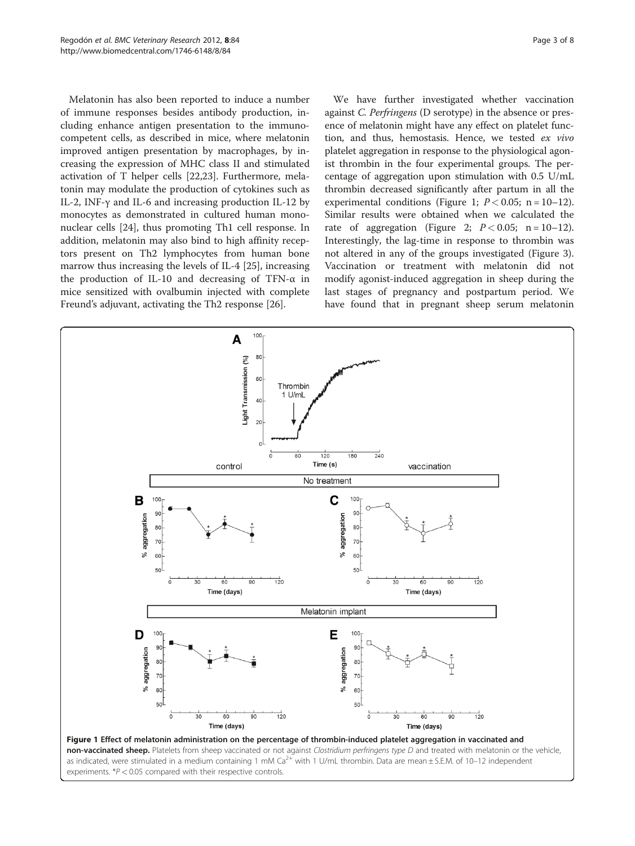<span id="page-2-0"></span>Melatonin has also been reported to induce a number of immune responses besides antibody production, including enhance antigen presentation to the immunocompetent cells, as described in mice, where melatonin improved antigen presentation by macrophages, by increasing the expression of MHC class II and stimulated activation of T helper cells [[22,23\]](#page-7-0). Furthermore, melatonin may modulate the production of cytokines such as IL-2, INF-γ and IL-6 and increasing production IL-12 by monocytes as demonstrated in cultured human mononuclear cells [\[24\]](#page-7-0), thus promoting Th1 cell response. In addition, melatonin may also bind to high affinity receptors present on Th2 lymphocytes from human bone marrow thus increasing the levels of IL-4 [\[25\]](#page-7-0), increasing the production of IL-10 and decreasing of TFN-α in mice sensitized with ovalbumin injected with complete Freund's adjuvant, activating the Th2 response [[26\]](#page-7-0).

We have further investigated whether vaccination against C. Perfringens (D serotype) in the absence or presence of melatonin might have any effect on platelet function, and thus, hemostasis. Hence, we tested ex vivo platelet aggregation in response to the physiological agonist thrombin in the four experimental groups. The percentage of aggregation upon stimulation with 0.5 U/mL thrombin decreased significantly after partum in all the experimental conditions (Figure 1;  $P < 0.05$ ; n = 10-12). Similar results were obtained when we calculated the rate of aggregation (Figure [2](#page-3-0);  $P < 0.05$ ; n = 10-12). Interestingly, the lag-time in response to thrombin was not altered in any of the groups investigated (Figure [3](#page-3-0)). Vaccination or treatment with melatonin did not modify agonist-induced aggregation in sheep during the last stages of pregnancy and postpartum period. We have found that in pregnant sheep serum melatonin

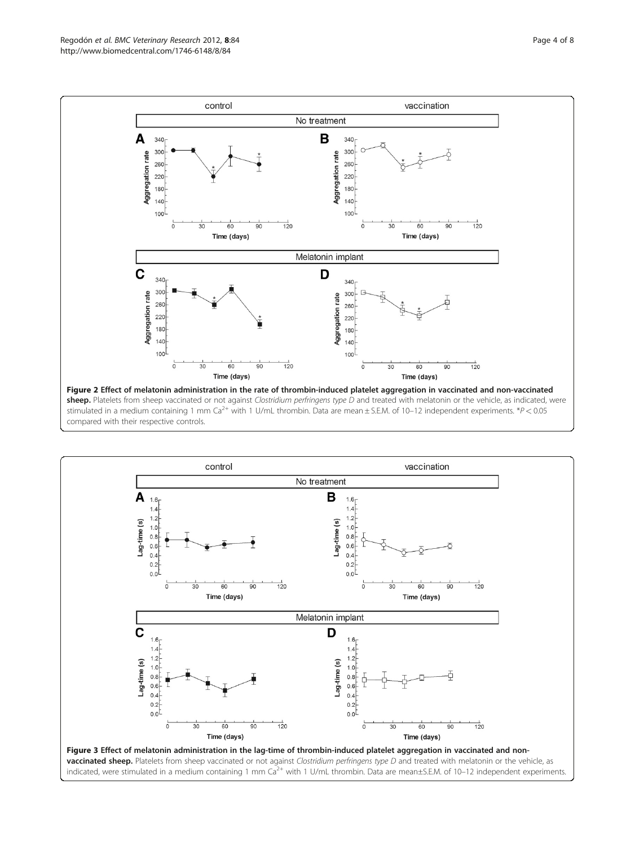<span id="page-3-0"></span>

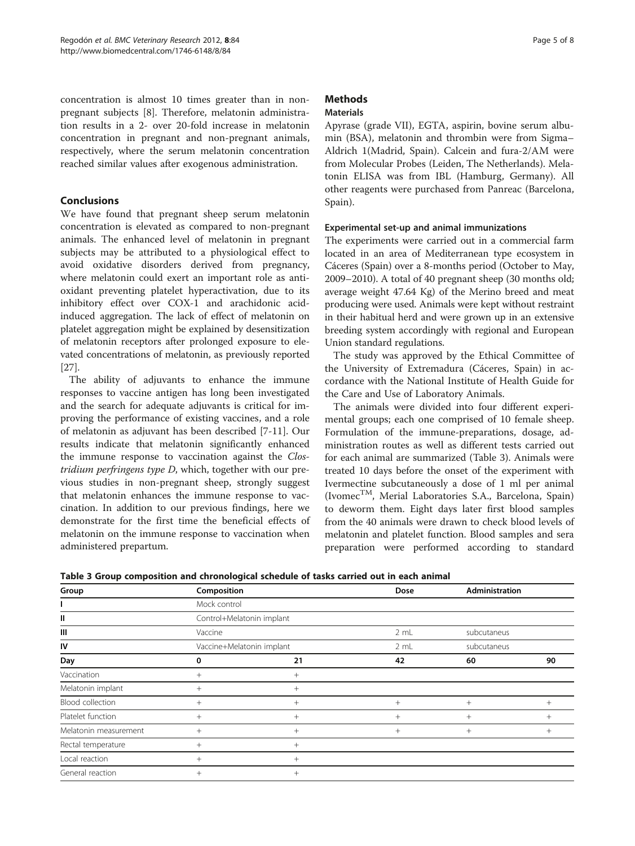<span id="page-4-0"></span>concentration is almost 10 times greater than in nonpregnant subjects [\[8](#page-6-0)]. Therefore, melatonin administration results in a 2- over 20-fold increase in melatonin concentration in pregnant and non-pregnant animals, respectively, where the serum melatonin concentration reached similar values after exogenous administration.

# Conclusions

We have found that pregnant sheep serum melatonin concentration is elevated as compared to non-pregnant animals. The enhanced level of melatonin in pregnant subjects may be attributed to a physiological effect to avoid oxidative disorders derived from pregnancy, where melatonin could exert an important role as antioxidant preventing platelet hyperactivation, due to its inhibitory effect over COX-1 and arachidonic acidinduced aggregation. The lack of effect of melatonin on platelet aggregation might be explained by desensitization of melatonin receptors after prolonged exposure to elevated concentrations of melatonin, as previously reported [[27\]](#page-7-0).

The ability of adjuvants to enhance the immune responses to vaccine antigen has long been investigated and the search for adequate adjuvants is critical for improving the performance of existing vaccines, and a role of melatonin as adjuvant has been described [[7-11](#page-6-0)]. Our results indicate that melatonin significantly enhanced the immune response to vaccination against the Clostridium perfringens type D, which, together with our previous studies in non-pregnant sheep, strongly suggest that melatonin enhances the immune response to vaccination. In addition to our previous findings, here we demonstrate for the first time the beneficial effects of melatonin on the immune response to vaccination when administered prepartum.

# **Methods**

# Materials

Apyrase (grade VII), EGTA, aspirin, bovine serum albumin (BSA), melatonin and thrombin were from Sigma– Aldrich 1(Madrid, Spain). Calcein and fura-2/AM were from Molecular Probes (Leiden, The Netherlands). Melatonin ELISA was from IBL (Hamburg, Germany). All other reagents were purchased from Panreac (Barcelona, Spain).

# Experimental set-up and animal immunizations

The experiments were carried out in a commercial farm located in an area of Mediterranean type ecosystem in Cáceres (Spain) over a 8-months period (October to May, 2009–2010). A total of 40 pregnant sheep (30 months old; average weight 47.64 Kg) of the Merino breed and meat producing were used. Animals were kept without restraint in their habitual herd and were grown up in an extensive breeding system accordingly with regional and European Union standard regulations.

The study was approved by the Ethical Committee of the University of Extremadura (Cáceres, Spain) in accordance with the National Institute of Health Guide for the Care and Use of Laboratory Animals.

The animals were divided into four different experimental groups; each one comprised of 10 female sheep. Formulation of the immune-preparations, dosage, administration routes as well as different tests carried out for each animal are summarized (Table 3). Animals were treated 10 days before the onset of the experiment with Ivermectine subcutaneously a dose of 1 ml per animal (Ivomec<sup>TM</sup>, Merial Laboratories S.A., Barcelona, Spain) to deworm them. Eight days later first blood samples from the 40 animals were drawn to check blood levels of melatonin and platelet function. Blood samples and sera preparation were performed according to standard

Table 3 Group composition and chronological schedule of tasks carried out in each animal

| Group                 | Composition               |        | <b>Dose</b> | <b>Administration</b> |        |
|-----------------------|---------------------------|--------|-------------|-----------------------|--------|
|                       | Mock control              |        |             |                       |        |
| Ш                     | Control+Melatonin implant |        |             |                       |        |
| Ш                     | Vaccine                   |        | 2 mL        | subcutaneus           |        |
| IV                    | Vaccine+Melatonin implant |        | 2 mL        | subcutaneus           |        |
| Day                   | 0                         | 21     | 42          | 60                    | 90     |
| Vaccination           | $^{+}$                    | $+$    |             |                       |        |
| Melatonin implant     | $+$                       | $+$    |             |                       |        |
| Blood collection      | $^{+}$                    | $^{+}$ | $^{+}$      | $^{+}$                | $^{+}$ |
| Platelet function     | $^{+}$                    | $^{+}$ | $^{+}$      | $+$                   | $^+$   |
| Melatonin measurement | $+$                       | $^{+}$ | $^{+}$      | $^{+}$                | $^+$   |
| Rectal temperature    | $+$                       | $^{+}$ |             |                       |        |
| Local reaction        | $^{+}$                    | $^{+}$ |             |                       |        |
| General reaction      | $^{+}$                    | $^{+}$ |             |                       |        |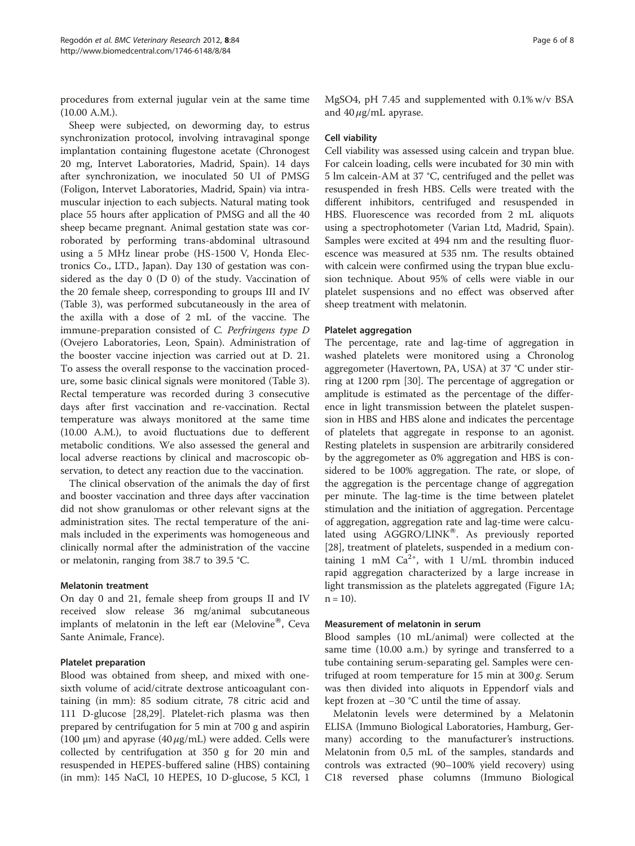procedures from external jugular vein at the same time (10.00 A.M.).

Sheep were subjected, on deworming day, to estrus synchronization protocol, involving intravaginal sponge implantation containing flugestone acetate (Chronogest 20 mg, Intervet Laboratories, Madrid, Spain). 14 days after synchronization, we inoculated 50 UI of PMSG (Foligon, Intervet Laboratories, Madrid, Spain) via intramuscular injection to each subjects. Natural mating took place 55 hours after application of PMSG and all the 40 sheep became pregnant. Animal gestation state was corroborated by performing trans-abdominal ultrasound using a 5 MHz linear probe (HS-1500 V, Honda Electronics Co., LTD., Japan). Day 130 of gestation was considered as the day 0 (D 0) of the study. Vaccination of the 20 female sheep, corresponding to groups III and IV (Table [3\)](#page-4-0), was performed subcutaneously in the area of the axilla with a dose of 2 mL of the vaccine. The immune-preparation consisted of C. Perfringens type D (Ovejero Laboratories, Leon, Spain). Administration of the booster vaccine injection was carried out at D. 21. To assess the overall response to the vaccination procedure, some basic clinical signals were monitored (Table [3](#page-4-0)). Rectal temperature was recorded during 3 consecutive days after first vaccination and re-vaccination. Rectal temperature was always monitored at the same time (10.00 A.M.), to avoid fluctuations due to defferent metabolic conditions. We also assessed the general and local adverse reactions by clinical and macroscopic observation, to detect any reaction due to the vaccination.

The clinical observation of the animals the day of first and booster vaccination and three days after vaccination did not show granulomas or other relevant signs at the administration sites. The rectal temperature of the animals included in the experiments was homogeneous and clinically normal after the administration of the vaccine or melatonin, ranging from 38.7 to 39.5 °C.

#### Melatonin treatment

On day 0 and 21, female sheep from groups II and IV received slow release 36 mg/animal subcutaneous implants of melatonin in the left ear (Melovine<sup>®</sup>, Ceva Sante Animale, France).

#### Platelet preparation

Blood was obtained from sheep, and mixed with onesixth volume of acid/citrate dextrose anticoagulant containing (in mm): 85 sodium citrate, 78 citric acid and 111 D-glucose [[28](#page-7-0),[29](#page-7-0)]. Platelet-rich plasma was then prepared by centrifugation for 5 min at 700 g and aspirin (100  $\mu$ m) and apyrase (40  $\mu$ g/mL) were added. Cells were collected by centrifugation at 350 g for 20 min and resuspended in HEPES-buffered saline (HBS) containing (in mm): 145 NaCl, 10 HEPES, 10 D-glucose, 5 KCl, 1

MgSO4, pH 7.45 and supplemented with 0.1% w/v BSA and  $40 \mu$ g/mL apyrase.

#### Cell viability

Cell viability was assessed using calcein and trypan blue. For calcein loading, cells were incubated for 30 min with 5 lm calcein-AM at 37 °C, centrifuged and the pellet was resuspended in fresh HBS. Cells were treated with the different inhibitors, centrifuged and resuspended in HBS. Fluorescence was recorded from 2 mL aliquots using a spectrophotometer (Varian Ltd, Madrid, Spain). Samples were excited at 494 nm and the resulting fluorescence was measured at 535 nm. The results obtained with calcein were confirmed using the trypan blue exclusion technique. About 95% of cells were viable in our platelet suspensions and no effect was observed after sheep treatment with melatonin.

#### Platelet aggregation

The percentage, rate and lag-time of aggregation in washed platelets were monitored using a Chronolog aggregometer (Havertown, PA, USA) at 37 °C under stirring at 1200 rpm [\[30\]](#page-7-0). The percentage of aggregation or amplitude is estimated as the percentage of the difference in light transmission between the platelet suspension in HBS and HBS alone and indicates the percentage of platelets that aggregate in response to an agonist. Resting platelets in suspension are arbitrarily considered by the aggregometer as 0% aggregation and HBS is considered to be 100% aggregation. The rate, or slope, of the aggregation is the percentage change of aggregation per minute. The lag-time is the time between platelet stimulation and the initiation of aggregation. Percentage of aggregation, aggregation rate and lag-time were calculated using  $AGGRO/LINK^{\circledast}$ . As previously reported [[28\]](#page-7-0), treatment of platelets, suspended in a medium containing 1 mM  $Ca^{2+}$ , with 1 U/mL thrombin induced rapid aggregation characterized by a large increase in light transmission as the platelets aggregated (Figure [1A](#page-2-0);  $n = 10$ ).

#### Measurement of melatonin in serum

Blood samples (10 mL/animal) were collected at the same time (10.00 a.m.) by syringe and transferred to a tube containing serum-separating gel. Samples were centrifuged at room temperature for  $15$  min at  $300g$ . Serum was then divided into aliquots in Eppendorf vials and kept frozen at −30 °C until the time of assay.

Melatonin levels were determined by a Melatonin ELISA (Immuno Biological Laboratories, Hamburg, Germany) according to the manufacturer's instructions. Melatonin from 0,5 mL of the samples, standards and controls was extracted (90–100% yield recovery) using C18 reversed phase columns (Immuno Biological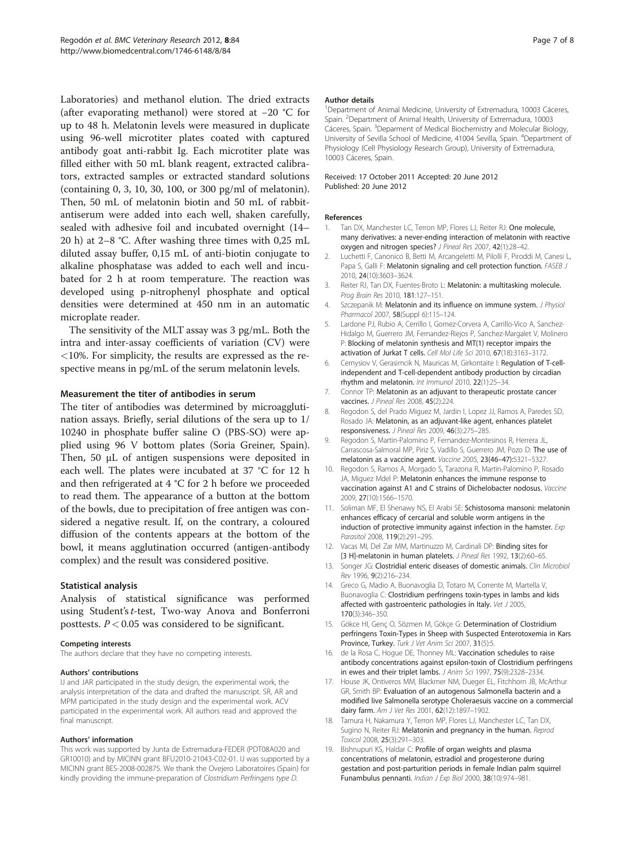<span id="page-6-0"></span>Laboratories) and methanol elution. The dried extracts (after evaporating methanol) were stored at −20 °C for up to 48 h. Melatonin levels were measured in duplicate using 96-well microtiter plates coated with captured antibody goat anti-rabbit Ig. Each microtiter plate was filled either with 50 mL blank reagent, extracted calibrators, extracted samples or extracted standard solutions (containing 0, 3, 10, 30, 100, or 300 pg/ml of melatonin). Then, 50 mL of melatonin biotin and 50 mL of rabbitantiserum were added into each well, shaken carefully, sealed with adhesive foil and incubated overnight (14– 20 h) at 2–8 °C. After washing three times with 0,25 mL diluted assay buffer, 0,15 mL of anti-biotin conjugate to alkaline phosphatase was added to each well and incubated for 2 h at room temperature. The reaction was developed using p-nitrophenyl phosphate and optical densities were determined at 450 nm in an automatic microplate reader.

The sensitivity of the MLT assay was 3 pg/mL. Both the intra and inter-assay coefficients of variation (CV) were <10%. For simplicity, the results are expressed as the respective means in pg/mL of the serum melatonin levels.

#### Measurement the titer of antibodies in serum

The titer of antibodies was determined by microagglutination assays. Briefly, serial dilutions of the sera up to 1/ 10240 in phosphate buffer saline O (PBS-SO) were applied using 96 V bottom plates (Soria Greiner, Spain). Then, 50 μL of antigen suspensions were deposited in each well. The plates were incubated at 37 °C for 12 h and then refrigerated at 4 °C for 2 h before we proceeded to read them. The appearance of a button at the bottom of the bowls, due to precipitation of free antigen was considered a negative result. If, on the contrary, a coloured diffusion of the contents appears at the bottom of the bowl, it means agglutination occurred (antigen-antibody complex) and the result was considered positive.

#### Statistical analysis

Analysis of statistical significance was performed using Student's t-test, Two-way Anova and Bonferroni posttests.  $P < 0.05$  was considered to be significant.

#### Competing interests

The authors declare that they have no competing interests.

#### Authors' contributions

IJ and JAR participated in the study design, the experimental work, the analysis interpretation of the data and drafted the manuscript. SR, AR and MPM participated in the study design and the experimental work. ACV participated in the experimental work. All authors read and approved the final manuscript.

#### Authors' information

This work was supported by Junta de Extremadura-FEDER (PDT08A020 and GR10010) and by MICINN grant BFU2010-21043-C02-01. IJ was supported by a MICINN grant BES-2008-002875. We thank the Ovejero Laboratoires (Spain) for kindly providing the immune-preparation of Clostridium Perfringens type D.

#### Author details

<sup>1</sup>Department of Animal Medicine, University of Extremadura, 10003 Cáceres, Spain. <sup>2</sup> Department of Animal Health, University of Extremadura, 10003 Cáceres, Spain. <sup>3</sup>Deparment of Medical Biochemistry and Molecular Biology University of Sevilla School of Medicine, 41004 Sevilla, Spain. <sup>4</sup>Department of Physiology (Cell Physiology Research Group), University of Extremadura, 10003 Cáceres, Spain.

#### Received: 17 October 2011 Accepted: 20 June 2012 Published: 20 June 2012

#### References

- 1. Tan DX, Manchester LC, Terron MP, Flores LJ, Reiter RJ: One molecule, many derivatives: a never-ending interaction of melatonin with reactive oxygen and nitrogen species? J Pineal Res 2007, 42(1):28–42.
- 2. Luchetti F, Canonico B, Betti M, Arcangeletti M, Pilolli F, Piroddi M, Canesi L, Papa S, Galli F: Melatonin signaling and cell protection function. FASEB J 2010, 24(10):3603–3624.
- 3. Reiter RJ, Tan DX, Fuentes-Broto L: Melatonin: a multitasking molecule. Prog Brain Res 2010, 181:127–151.
- 4. Szczepanik M: Melatonin and its influence on immune system. J Physiol Pharmacol 2007, 58(Suppl 6):115–124.
- 5. Lardone PJ, Rubio A, Cerrillo I, Gomez-Corvera A, Carrillo-Vico A, Sanchez-Hidalgo M, Guerrero JM, Fernandez-Riejos P, Sanchez-Margalet V, Molinero P: Blocking of melatonin synthesis and MT(1) receptor impairs the activation of Jurkat T cells. Cell Mol Life Sci 2010, 67(18):3163–3172.
- 6. Cernysiov V, Gerasimcik N, Mauricas M, Girkontaite I: Regulation of T-cellindependent and T-cell-dependent antibody production by circadian rhythm and melatonin. Int Immunol 2010, 22(1):25–34.
- 7. Connor TP: Melatonin as an adjuvant to therapeutic prostate cancer vaccines. J Pineal Res 2008, 45(2):224.
- 8. Regodon S, del Prado Miguez M, Jardin I, Lopez JJ, Ramos A, Paredes SD, Rosado JA: Melatonin, as an adjuvant-like agent, enhances platelet responsiveness. J Pineal Res 2009, 46(3):275–285.
- 9. Regodon S, Martin-Palomino P, Fernandez-Montesinos R, Herrera JL, Carrascosa-Salmoral MP, Piriz S, Vadillo S, Guerrero JM, Pozo D: The use of melatonin as a vaccine agent. Vaccine 2005, 23(46–47):5321–5327.
- 10. Regodon S, Ramos A, Morgado S, Tarazona R, Martin-Palomino P, Rosado JA, Miguez Mdel P: Melatonin enhances the immune response to vaccination against A1 and C strains of Dichelobacter nodosus. Vaccine 2009, 27(10):1566–1570.
- 11. Soliman MF, El Shenawy NS, El Arabi SE: Schistosoma mansoni: melatonin enhances efficacy of cercarial and soluble worm antigens in the induction of protective immunity against infection in the hamster. Exp Parasitol 2008, 119(2):291–295.
- 12. Vacas MI, Del Zar MM, Martinuzzo M, Cardinali DP: Binding sites for [3 H]-melatonin in human platelets. *J Pineal Res* 1992, 13(2):60-65.
- 13. Songer JG: Clostridial enteric diseases of domestic animals. Clin Microbiol Rev 1996, 9(2):216–234.
- 14. Greco G, Madio A, Buonavoglia D, Totaro M, Corrente M, Martella V, Buonavoglia C: Clostridium perfringens toxin-types in lambs and kids affected with gastroenteric pathologies in Italy. Vet J 2005, 170(3):346–350.
- 15. Gökce HI, Genç O, Sözmen M, Gökce G: Determination of Clostridium perfringens Toxin-Types in Sheep with Suspected Enterotoxemia in Kars Province, Turkey. Turk J Vet Anim Sci 2007, 31(5):5.
- 16. de la Rosa C, Hogue DE, Thonney ML: Vaccination schedules to raise antibody concentrations against epsilon-toxin of Clostridium perfringens in ewes and their triplet lambs. J Anim Sci 1997, 75(9):2328-2334.
- 17. House JK, Ontiveros MM, Blackmer NM, Dueger EL, Fitchhorn JB, McArthur GR, Smith BP: Evaluation of an autogenous Salmonella bacterin and a modified live Salmonella serotype Choleraesuis vaccine on a commercial dairy farm. Am J Vet Res 2001, 62(12):1897–1902.
- 18. Tamura H, Nakamura Y, Terron MP, Flores LJ, Manchester LC, Tan DX, Sugino N, Reiter RJ: Melatonin and pregnancy in the human. Reprod Toxicol 2008, 25(3):291–303.
- 19. Bishnupuri KS, Haldar C: Profile of organ weights and plasma concentrations of melatonin, estradiol and progesterone during gestation and post-parturition periods in female Indian palm squirrel Funambulus pennanti. Indian J Exp Biol 2000, 38(10):974–981.